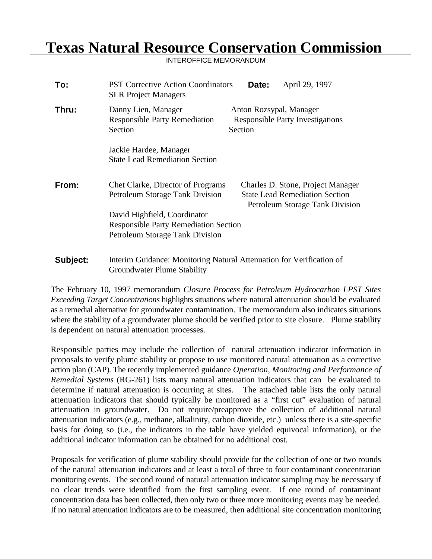## **Texas Natural Resource Conservation Commission**

INTEROFFICE MEMORANDUM

| To:      | <b>PST Corrective Action Coordinators</b><br><b>SLR Project Managers</b>                            | April 29, 1997<br>Date:                                                                                       |  |  |
|----------|-----------------------------------------------------------------------------------------------------|---------------------------------------------------------------------------------------------------------------|--|--|
| Thru:    | Danny Lien, Manager<br><b>Responsible Party Remediation</b><br>Section                              | Anton Rozsypal, Manager<br><b>Responsible Party Investigations</b><br>Section                                 |  |  |
|          | Jackie Hardee, Manager<br><b>State Lead Remediation Section</b>                                     |                                                                                                               |  |  |
| From:    | Chet Clarke, Director of Programs<br><b>Petroleum Storage Tank Division</b>                         | Charles D. Stone, Project Manager<br><b>State Lead Remediation Section</b><br>Petroleum Storage Tank Division |  |  |
|          | David Highfield, Coordinator<br><b>Responsible Party Remediation Section</b>                        |                                                                                                               |  |  |
|          | Petroleum Storage Tank Division                                                                     |                                                                                                               |  |  |
| Subject: | Interim Guidance: Monitoring Natural Attenuation for Verification of<br>Groundwater Plume Stability |                                                                                                               |  |  |

The February 10, 1997 memorandum *Closure Process for Petroleum Hydrocarbon LPST Sites Exceeding Target Concentrations* highlights situations where natural attenuation should be evaluated as a remedial alternative for groundwater contamination. The memorandum also indicates situations where the stability of a groundwater plume should be verified prior to site closure. Plume stability is dependent on natural attenuation processes.

Responsible parties may include the collection of natural attenuation indicator information in proposals to verify plume stability or propose to use monitored natural attenuation as a corrective action plan (CAP). The recently implemented guidance *Operation, Monitoring and Performance of Remedial Systems* (RG-261) lists many natural attenuation indicators that can be evaluated to determine if natural attenuation is occurring at sites. The attached table lists the only natural attenuation indicators that should typically be monitored as a "first cut" evaluation of natural attenuation in groundwater. Do not require/preapprove the collection of additional natural attenuation indicators (e.g., methane, alkalinity, carbon dioxide, etc.) unless there is a site-specific basis for doing so (i.e., the indicators in the table have yielded equivocal information), or the additional indicator information can be obtained for no additional cost.

Proposals for verification of plume stability should provide for the collection of one or two rounds of the natural attenuation indicators and at least a total of three to four contaminant concentration monitoring events. The second round of natural attenuation indicator sampling may be necessary if no clear trends were identified from the first sampling event. If one round of contaminant concentration data has been collected, then only two or three more monitoring events may be needed. If no natural attenuation indicators are to be measured, then additional site concentration monitoring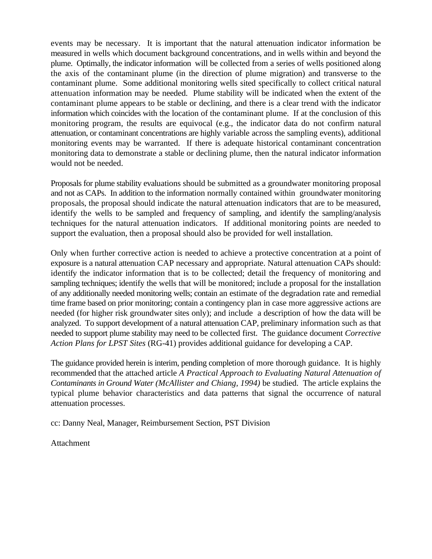events may be necessary. It is important that the natural attenuation indicator information be measured in wells which document background concentrations, and in wells within and beyond the plume. Optimally, the indicator information will be collected from a series of wells positioned along the axis of the contaminant plume (in the direction of plume migration) and transverse to the contaminant plume. Some additional monitoring wells sited specifically to collect critical natural attenuation information may be needed. Plume stability will be indicated when the extent of the contaminant plume appears to be stable or declining, and there is a clear trend with the indicator information which coincides with the location of the contaminant plume. If at the conclusion of this monitoring program, the results are equivocal (e.g., the indicator data do not confirm natural attenuation, or contaminant concentrations are highly variable across the sampling events), additional monitoring events may be warranted. If there is adequate historical contaminant concentration monitoring data to demonstrate a stable or declining plume, then the natural indicator information would not be needed.

Proposals for plume stability evaluations should be submitted as a groundwater monitoring proposal and not as CAPs. In addition to the information normally contained within groundwater monitoring proposals, the proposal should indicate the natural attenuation indicators that are to be measured, identify the wells to be sampled and frequency of sampling, and identify the sampling/analysis techniques for the natural attenuation indicators. If additional monitoring points are needed to support the evaluation, then a proposal should also be provided for well installation.

Only when further corrective action is needed to achieve a protective concentration at a point of exposure is a natural attenuation CAP necessary and appropriate. Natural attenuation CAPs should: identify the indicator information that is to be collected; detail the frequency of monitoring and sampling techniques; identify the wells that will be monitored; include a proposal for the installation of any additionally needed monitoring wells; contain an estimate of the degradation rate and remedial time frame based on prior monitoring; contain a contingency plan in case more aggressive actions are needed (for higher risk groundwater sites only); and include a description of how the data will be analyzed. To support development of a natural attenuation CAP, preliminary information such as that needed to support plume stability may need to be collected first. The guidance document *Corrective Action Plans for LPST Sites* (RG-41) provides additional guidance for developing a CAP.

The guidance provided herein is interim, pending completion of more thorough guidance. It is highly recommended that the attached article *A Practical Approach to Evaluating Natural Attenuation of Contaminants in Ground Water (McAllister and Chiang, 1994)* be studied. The article explains the typical plume behavior characteristics and data patterns that signal the occurrence of natural attenuation processes.

cc: Danny Neal, Manager, Reimbursement Section, PST Division

Attachment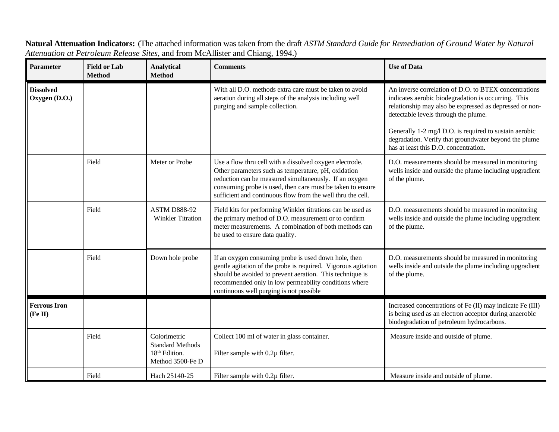**Parameter Field or Lab Analytical Comments Use of Data Method Method Dissolved Oxygen (D.O.)** With all D.O. methods extra care must be taken to avoid An inverse correlation of D.O. to BTEX concentrations aeration during all steps of the analysis including well indicates aerobic biodegradation is occurring. This purging and sample collection. The relationship may also be expressed as depressed or nondetectable levels through the plume. Generally 1-2 mg/l D.O. is required to sustain aerobic degradation. Verify that groundwater beyond the plume has at least this D.O. concentration. Field Meter or Probe Use a flow thru cell with a dissolved oxygen electrode. D.O. measurements should be measured in monitoring Other parameters such as temperature, pH, oxidation wells inside and outside the plume including upgradient reduction can be measured simultaneously. If an oxygen of the plume. consuming probe is used, then care must be taken to ensure sufficient and continuous flow from the well thru the cell. Field ASTM D888-92 Field kits for performing Winkler titrations can be used as D.O. measurements should be measured in monitoring Winkler Titration the primary method of D.O. measurement or to confirm wells inside and outside the plume including upgradient meter measurements. A combination of both methods can of the plume. be used to ensure data quality. Field Down hole probe If an oxygen consuming probe is used down hole, then D.O. measurements should be measured in monitoring gentle agitation of the probe is required. Vigorous agitation wells inside and outside the plume including upgradient should be avoided to prevent aeration. This technique is of the plume. recommended only in low permeability conditions where continuous well purging is not possible **Ferrous Iron (Fe II)** Increased concentrations of Fe (II) may indicate Fe (III) is being used as an electron acceptor during anaerobic biodegradation of petroleum hydrocarbons. Field Colorimetric Collect 100 ml of water in glass container. Measure inside and outside of plume. Standard Methods  $18<sup>th</sup>$  Edition. Filter sample with 0.2 $\mu$  filter. Method 3500-Fe D Field Hach 25140-25 Filter sample with 0.2µ filter. Measure inside and outside of plume.

**Natural Attenuation Indicators:** (The attached information was taken from the draft *ASTM Standard Guide for Remediation of Ground Water by Natural Attenuation at Petroleum Release Sites*, and from McAllister and Chiang, 1994.)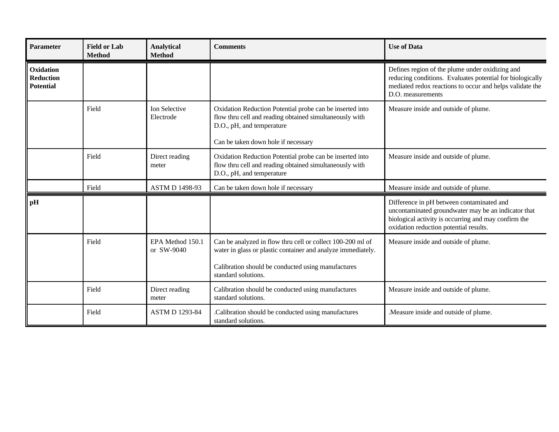| <b>Parameter</b>                                  | <b>Field or Lab</b><br><b>Method</b> | <b>Analytical</b><br><b>Method</b> | <b>Comments</b>                                                                                                                                                                                         | <b>Use of Data</b>                                                                                                                                                                                 |
|---------------------------------------------------|--------------------------------------|------------------------------------|---------------------------------------------------------------------------------------------------------------------------------------------------------------------------------------------------------|----------------------------------------------------------------------------------------------------------------------------------------------------------------------------------------------------|
| Oxidation<br><b>Reduction</b><br><b>Potential</b> |                                      |                                    |                                                                                                                                                                                                         | Defines region of the plume under oxidizing and<br>reducing conditions. Evaluates potential for biologically<br>mediated redox reactions to occur and helps validate the<br>D.O. measurements      |
|                                                   | Field                                | Ion Selective<br>Electrode         | Oxidation Reduction Potential probe can be inserted into<br>flow thru cell and reading obtained simultaneously with<br>D.O., pH, and temperature<br>Can be taken down hole if necessary                 | Measure inside and outside of plume.                                                                                                                                                               |
|                                                   | Field                                | Direct reading<br>meter            | Oxidation Reduction Potential probe can be inserted into<br>flow thru cell and reading obtained simultaneously with<br>D.O., pH, and temperature                                                        | Measure inside and outside of plume.                                                                                                                                                               |
|                                                   | Field                                | <b>ASTM D 1498-93</b>              | Can be taken down hole if necessary                                                                                                                                                                     | Measure inside and outside of plume.                                                                                                                                                               |
| pH                                                |                                      |                                    |                                                                                                                                                                                                         | Difference in pH between contaminated and<br>uncontaminated groundwater may be an indicator that<br>biological activity is occurring and may confirm the<br>oxidation reduction potential results. |
|                                                   | Field                                | EPA Method 150.1<br>or SW-9040     | Can be analyzed in flow thru cell or collect 100-200 ml of<br>water in glass or plastic container and analyze immediately.<br>Calibration should be conducted using manufactures<br>standard solutions. | Measure inside and outside of plume.                                                                                                                                                               |
|                                                   | Field                                | Direct reading<br>meter            | Calibration should be conducted using manufactures<br>standard solutions.                                                                                                                               | Measure inside and outside of plume.                                                                                                                                                               |
|                                                   | Field                                | <b>ASTM D 1293-84</b>              | Calibration should be conducted using manufactures.<br>standard solutions.                                                                                                                              | . Measure inside and outside of plume.                                                                                                                                                             |